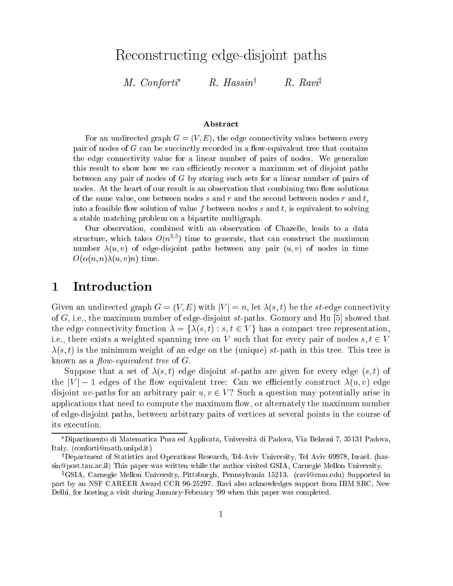Re
onstru
ting edge-disjoint paths

M. Conforti  $R.$  Hassin<sup>†</sup>  $R. Ravi^{\ddagger}$ 

#### Abstra
t

For an undirected graph  $G = (V, E)$ , the edge connectivity values between every pair of nodes of  $G$  can be succinctly recorded in a flow-equivalent tree that contains the edge onne
tivity value for a linear number of pairs of nodes. We generalize this result to show how we an eÆ
iently re
over a maximum set of disjoint paths between any pair of nodes of <sup>G</sup> by storing su
h sets for a linear number of pairs of nodes. At the heart of our result is an observation that combining two flow solutions of the same value, one between nodes  $s$  and  $r$  and the second between nodes  $r$  and  $t$ , into a feasible flow solution of value f between nodes s and t, is equivalent to solving a stable mat
hing problem on a bipartite multigraph.

Our observation, ombined with an observation of Chazelle, leads to a data structure, which takes  $O(n^{1+\varepsilon})$  time to generate, that can construct the maximum number  $\lambda(u, v)$  of edge-disjoint paths between any pair  $(u, v)$  of nodes in time  $O(\alpha(n, n) \lambda(u, v)n)$  time.

### 1 Introduction

Given an undirected graph  $G = (V, E)$  with  $|V| = n$ , let  $\lambda(s, t)$  be the st-edge connectivity of G, i.e., the maximum number of edge-disjoint st-paths. Gomory and Hu  $[5]$  showed that the edge connectivity function  $\lambda = \{\lambda(s,t) : s, t \in V\}$  has a compact tree representation, i.e., there exists a weighted spanning tree on V such that for every pair of nodes  $s, t \in V$  $\lambda(s, t)$  is the minimum weight of an edge on the (unique) st-path in this tree. This tree is known as a *flow-equivalent tree* of  $G$ .

Suppose that a set of  $\lambda(s, t)$  edge disjoint st-paths are given for every edge  $(s, t)$  of the  $|V| - 1$  edges of the flow equivalent tree: Can we efficiently construct  $\lambda(u, v)$  edge disjoint uv-paths for an arbitrary pair  $u, v \in V$ ? Such a question may potentially arise in applications that need to compute the maximum flow, or alternately the maximum number of edge-disjoint paths, between arbitrary pairs of verti
es at several points in the ourse of its execution.

Dipartimento di Matemati
a Pura ed Appli
ata, Universita di Padova, Via Belzoni 7, 35131 Padova, Italy. (conforti@math.unipd.it)

<sup>&</sup>lt;sup>†</sup>Department of Statistics and Operations Research, Tel-Aviv University, Tel Aviv 69978, Israel. (hassin@post.tau.ac.il) This paper was written while the author visited GSIA, Carnegie Mellon University.

<sup>&</sup>lt;sup>‡</sup>GSIA, Carnegie Mellon University, Pittsburgh, Pennsylvania 15213. (ravi@cmu.edu) Supported in part by an NSF CAREER Award CCR 96-25297. Ravi also a
knowledges support from IBM SRC, New Delhi, for hosting a visit during January-February '99 when this paper was ompleted.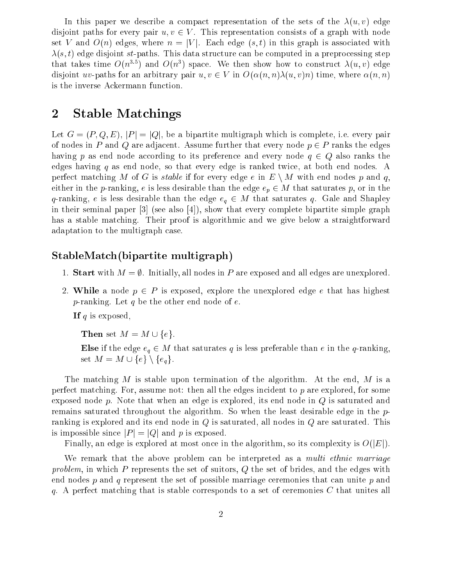In this paper we describe a compact representation of the sets of the  $\lambda(u, v)$  edge disjoint paths for every pair  $u, v \in V$ . This representation consists of a graph with node set V and  $O(n)$  edges, where  $n = |V|$ . Each edge  $(s, t)$  in this graph is associated with  $\lambda(s,t)$  edge disjoint st-paths. This data structure can be computed in a preprocessing step that takes time  $O(n^{1/3})$  and  $O(n^2)$  space. We then show how to construct  $\lambda(u,v)$  edge disjoint uv-paths for an arbitrary pair  $u, v \in V$  in  $O(\alpha(n, n)\lambda(u, v)n)$  time, where  $\alpha(n, n)$ is the inverse Ackermann function.

## 2 Stable Matchings

Let  $G = (P, Q, E), |P| = |Q|$ , be a bipartite multigraph which is complete, i.e. every pair of nodes in P and Q are adjacent. Assume further that every node  $p \in P$  ranks the edges having p as end node according to its preference and every node  $q \in Q$  also ranks the edges having q as end node, so that every edge is ranked twice, at both end nodes. A perfect matching M of G is *stable* if for every edge e in  $E \setminus M$  with end nodes p and q, either in the *p*-ranking, *e* is less desirable than the edge  $e_p \in M$  that saturates p, or in the q-ranking, e is less desirable than the edge  $e_q \in M$  that saturates q. Gale and Shapley in their seminal paper  $[3]$  (see also  $[4]$ ), show that every complete bipartite simple graph has a stable matching. Their proof is algorithmic and we give below a straightforward adaptation to the multigraph ase.

### stable multiple multiple multiple multiple multiple multiple multiple multiple multiple multiple multiple mult

- 1. Start with  $M = \emptyset$ . Initially, all nodes in P are exposed and all edges are unexplored.
- 2. While a node  $p \in P$  is exposed, explore the unexplored edge e that has highest p-ranking. Let  $q$  be the other end node of  $e$ .

If  $q$  is exposed,

Then set  $M = M \cup \{e\}.$ 

Else if the edge  $e_q \in M$  that saturates q is less preferable than e in the q-ranking, set  $M = M \cup \{e\} \setminus \{e_q\}.$ 

The matching M is stable upon termination of the algorithm. At the end, M is a perfect matching. For, assume not: then all the edges incident to  $p$  are explored, for some exposed node p. Note that when an edge is explored, its end node in  $Q$  is saturated and remains saturated throughout the algorithm. So when the least desirable edge in the pranking is explored and its end node in <sup>Q</sup> is saturated, all nodes in <sup>Q</sup> are saturated. This is impossible since  $|P| = |Q|$  and p is exposed.

Finally, an edge is explored at most once in the algorithm, so its complexity is  $O(|E|)$ .

We remark that the above problem can be interpreted as a *multi ethnic marriage* problem, in which  $P$  represents the set of suitors,  $Q$  the set of brides, and the edges with end nodes  $p$  and  $q$  represent the set of possible marriage ceremonies that can unite  $p$  and q. A perfect matching that is stable corresponds to a set of ceremonies C that unites all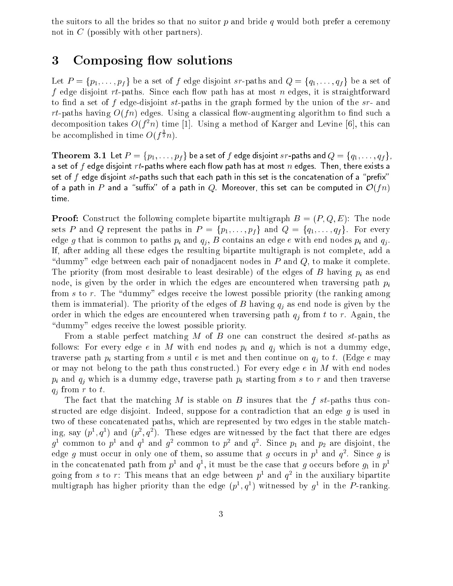the suitors to all the brides so that no suitor  $p$  and bride  $q$  would both prefer a ceremony not in <sup>C</sup> (possibly with other partners).

## 3 Composing flow solutions

Let  $P = \{p_1, \ldots, p_f\}$  be a set of f edge disjoint sr-paths and  $Q = \{q_1, \ldots, q_f\}$  be a set of f edge disjoint rt-paths. Sin
e ea
h ow path has at most <sup>n</sup> edges, it is straightforward to find a set of f edge-disjoint  $st$ -paths in the graph formed by the union of the  $sr$ - and rt-paths having  $O(f_n)$  edges. Using a classical flow-augmenting algorithm to find such a decomposition takes  $O(T^n)$  time [1]. Using a method of Karger and Levine [6], this can be accomplished in time  $O(f^{\frac{1}{2}}n)$ .

**Theorem 3.1** Let  $P = \{p_1, \ldots, p_f\}$  be a set of f edge disjoint sr-paths and  $Q = \{q_1, \ldots, q_f\}$ , a set of  $f$  edge disjoint  $rt$ -paths where each flow path has at most  $n$  edges. Then, there exists a set of f edge disjoint  $st$ -paths such that each path in this set is the concatenation of a "prefix" of a path in P and a "suffix" of a path in Q. Moreover, this set can be computed in  $\mathcal{O}(fn)$ time.

**Proof:** Construct the following complete bipartite multigraph  $B = (P, Q, E)$ : The node sets P and Q represent the paths in  $P = \{p_1, \ldots, p_f\}$  and  $Q = \{q_1, \ldots, q_f\}$ . For every edge g that is common to paths  $p_i$  and  $q_j$ , B contains an edge e with end nodes  $p_i$  and  $q_j$ . If, after adding all these edges the resulting bipartite multigraph is not omplete, add a "dummy" edge between each pair of nonadjacent nodes in  $P$  and  $Q$ , to make it complete. The priority (from most desirable to least desirable) of the edges of B having  $p_i$  as end node, is given by the order in which the edges are encountered when traversing path  $p_i$ from  $s$  to  $r$ . The "dummy" edges receive the lowest possible priority (the ranking among them is immaterial). The priority of the edges of B having  $q_j$  as end node is given by the order in which the edges are encountered when traversing path  $q_i$  from t to r. Again, the " dummy" edges receive the lowest possible priority.

From a stable perfect matching M of B one can construct the desired  $st$ -paths as follows: For every edge e in M with end nodes  $p_i$  and  $q_j$  which is not a dummy edge, traverse path  $p_i$  starting from s until e is met and then continue on  $q_i$  to t. (Edge e may or may not belong to the path thus constructed.) For every edge  $e$  in  $M$  with end nodes  $p_i$  and  $q_j$  which is a dummy edge, traverse path  $p_i$  starting from s to r and then traverse  $q_j$  from r to t.

The fact that the matching M is stable on B insures that the f st-paths thus constructed are edge disjoint. Indeed, suppose for a contradiction that an edge  $g$  is used in two of these concatenated paths, which are represented by two edges in the stable matching, say  $(p^-,q^-)$  and  $(p^-,q^-)$ . These edges are witnessed by the fact that there are edges  $g$ <sup>-</sup> common to  $p$ - and  $q$ - and  $g$ - common to  $p$ - and  $q$ -. Since  $p_1$  and  $p_2$  are disjoint, the edge  $q$  must occur in only one of them, so assume that  $q$  occurs in  $p$  and  $q$  . Since  $q$  is in the concatenated path from  $p^1$  and  $q^2$ , it must be the case that g occurs before  $g_1$  in  $p^2$ going from  $s$  to  $r$ : This means that an edge between  $p$  and  $q$  in the auxiliary bipartite multigraph has higher priority than the edge  $(p_+, q_-)$  withessed by  $q_-$  in the  $P$ -ranking.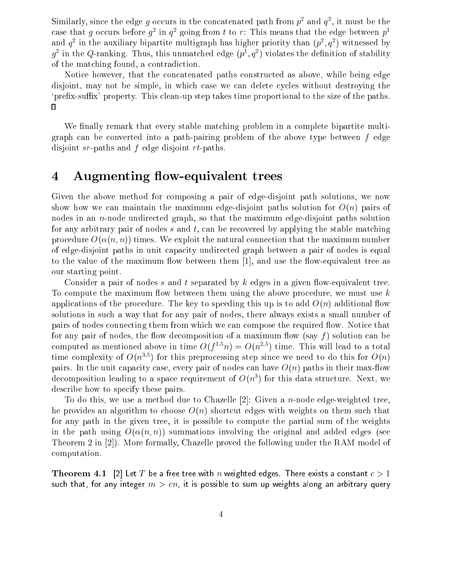Similarly, since the edge  $g$  occurs in the concatenated path from  $p$  and  $q$  , it must be the case that q occurs before  $q$  in  $q$  going from  $t$  to  $r$ : This means that the edge between  $p$ and  $q$  – in the auxiliary bipartite multigraph has higher priority than  $(p^-,q^+)$  witnessed by  $q$  -in the  $Q$ -ranking. Thus, this unmatched edge (p),  $q$  ) violates the definition of stability of the mat
hing found, a ontradi
tion.

Notice however, that the concatenated paths constructed as above, while being edge disjoint, may not be simple, in which case we can delete cycles without destroying the 'prefix-suffix' property. This clean-up step takes time proportional to the size of the paths.  $\Box$ 

We finally remark that every stable matching problem in a complete bipartite multigraph an be onverted into a path-pairing problem of the above type between <sup>f</sup> edge disjoint sr-paths and <sup>f</sup> edge disjoint rt-paths.

### 4 Augmenting flow-equivalent trees

Given the above method for omposing a pair of edge-disjoint path solutions, we now show how we can maintain the maximum edge-disjoint paths solution for  $O(n)$  pairs of nodes in an n-node undire
ted graph, so that the maximum edge-disjoint paths solution for any arbitrary pair of nodes  $s$  and  $t$ , can be recovered by applying the stable matching procedure  $O(\alpha(n,n))$  times. We exploit the natural connection that the maximum number of edge-disjoint paths in unit capacity undirected graph between a pair of nodes is equal to the value of the maximum flow between them  $[1]$ , and use the flow-equivalent tree as our starting point.

Consider a pair of nodes s and t separated by  $k$  edges in a given flow-equivalent tree. To compute the maximum flow between them using the above procedure, we must use  $k$ applications of the procedure. The key to speeding this up is to add  $O(n)$  additional flow solutions in su
h a way that for any pair of nodes, there always exists a small number of pairs of nodes connecting them from which we can compose the required flow. Notice that for any pair of nodes, the flow decomposition of a maximum flow (say f) solution can be computed as mentioned above in time  $O(1-n) \equiv O(n-1)$  time. This will lead to a total time complexity of  $O(n^{1+\epsilon})$  for this preprocessing step since we need to do this for  $O(n)$ pairs. In the unit capacity case, every pair of nodes can have  $O(n)$  paths in their max-flow decomposition reading to a space requirement of  $O(n^*)$  for this data structure. Next, we describe how to specify these pairs.

To do this, we use a method due to Chazelle [2]: Given a *n*-node edge-weighted tree, he provides an algorithm to choose  $O(n)$  shortcut edges with weights on them such that for any path in the given tree, it is possible to ompute the partial sum of the weights in the path using  $O(\alpha(n, n))$  summations involving the original and added edges (see Theorem 2 in  $[2]$ ). More formally, Chazelle proved the following under the RAM model of omputation.

**Theorem 4.1** [2] Let T be a free tree with n weighted edges. There exists a constant  $c > 1$ such that, for any integer  $m > cn$ , it is possible to sum up weights along an arbitrary query